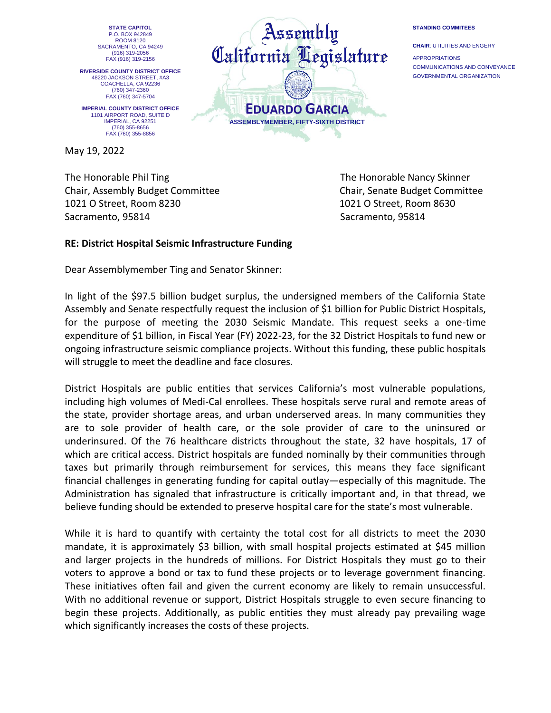**STATE CAPITOL** P.O. BOX 942849 ROOM 8120 SACRAMENTO, CA 94249 (916) 319-2056 FAX (916) 319-2156

**RIVERSIDE COUNTY DISTRICT OFFICE** 48220 JACKSON STREET, #A3 COACHELLA, CA 92236 (760) 347-2360 FAX (760) 347-5704

**IMPERIAL COUNTY DISTRICT OFFICE** 1101 AIRPORT ROAD, SUITE D IMPERIAL, CA 92251 (760) 355-8656 FAX (760) 355-8856

May 19, 2022

The Honorable Phil Ting The Honorable Nancy Skinner Chair, Assembly Budget Committee Chair, Senate Budget Committee 1021 O Street, Room 8230 1021 O Street, Room 8630 Sacramento, 95814 Sacramento, 95814

## **RE: District Hospital Seismic Infrastructure Funding**

Dear Assemblymember Ting and Senator Skinner:

In light of the \$97.5 billion budget surplus, the undersigned members of the California State Assembly and Senate respectfully request the inclusion of \$1 billion for Public District Hospitals, for the purpose of meeting the 2030 Seismic Mandate. This request seeks a one-time expenditure of \$1 billion, in Fiscal Year (FY) 2022-23, for the 32 District Hospitals to fund new or ongoing infrastructure seismic compliance projects. Without this funding, these public hospitals will struggle to meet the deadline and face closures.

District Hospitals are public entities that services California's most vulnerable populations, including high volumes of Medi-Cal enrollees. These hospitals serve rural and remote areas of the state, provider shortage areas, and urban underserved areas. In many communities they are to sole provider of health care, or the sole provider of care to the uninsured or underinsured. Of the 76 healthcare districts throughout the state, 32 have hospitals, 17 of which are critical access. District hospitals are funded nominally by their communities through taxes but primarily through reimbursement for services, this means they face significant financial challenges in generating funding for capital outlay—especially of this magnitude. The Administration has signaled that infrastructure is critically important and, in that thread, we believe funding should be extended to preserve hospital care for the state's most vulnerable.

While it is hard to quantify with certainty the total cost for all districts to meet the 2030 mandate, it is approximately \$3 billion, with small hospital projects estimated at \$45 million and larger projects in the hundreds of millions. For District Hospitals they must go to their voters to approve a bond or tax to fund these projects or to leverage government financing. These initiatives often fail and given the current economy are likely to remain unsuccessful. With no additional revenue or support, District Hospitals struggle to even secure financing to begin these projects. Additionally, as public entities they must already pay prevailing wage which significantly increases the costs of these projects.



## **STANDING COMMITEES**

**CHAIR**: UTILITIES AND ENGERY APPROPRIATIONS COMMUNICATIONS AND CONVEYANCE GOVERNMENTAL ORGANIZATION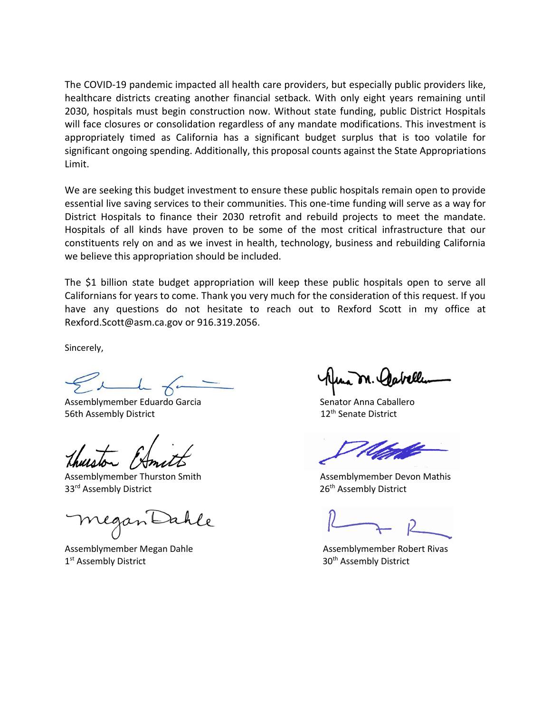The COVID-19 pandemic impacted all health care providers, but especially public providers like, healthcare districts creating another financial setback. With only eight years remaining until 2030, hospitals must begin construction now. Without state funding, public District Hospitals will face closures or consolidation regardless of any mandate modifications. This investment is appropriately timed as California has a significant budget surplus that is too volatile for significant ongoing spending. Additionally, this proposal counts against the State Appropriations Limit.

We are seeking this budget investment to ensure these public hospitals remain open to provide essential live saving services to their communities. This one-time funding will serve as a way for District Hospitals to finance their 2030 retrofit and rebuild projects to meet the mandate. Hospitals of all kinds have proven to be some of the most critical infrastructure that our constituents rely on and as we invest in health, technology, business and rebuilding California we believe this appropriation should be included.

The \$1 billion state budget appropriation will keep these public hospitals open to serve all Californians for years to come. Thank you very much for the consideration of this request. If you have any questions do not hesitate to reach out to Rexford Scott in my office at [Rexford.Scott@asm.ca.gov](mailto:Rexford.Scott@asm.ca.gov) or 916.319.2056.

Sincerely,

Assemblymember Eduardo Garcia and Senator Anna Caballero 56th Assembly District 12<sup>th</sup> Senate District

Assemblymember Thurston Smith Assemblymember Devon Mathis 33<sup>rd</sup> Assembly District 26<sup>th</sup> Assembly District 26<sup>th</sup> Assembly District

Assemblymember Megan Dahle **Assemblymember Robert Rivas** Assemblymember Robert Rivas 1<sup>st</sup> Assembly District

30<sup>th</sup> Assembly District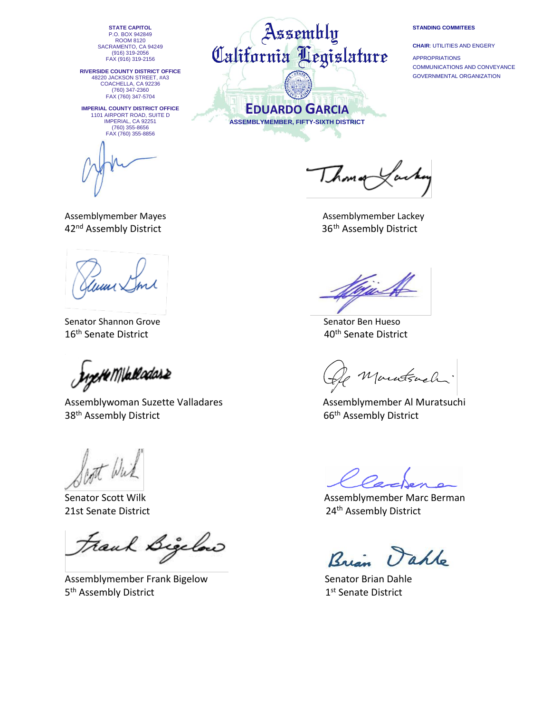**STATE CAPITOL** P.O. BOX 942849 ROOM 8120 SACRAMENTO, CA 94249 (916) 319-2056 FAX (916) 319-2156

**RIVERSIDE COUNTY DISTRICT OFFICE** 48220 JACKSON STREET, #A3 COACHELLA, CA 92236 (760) 347-2360 FAX (760) 347-5704

**IMPERIAL COUNTY DISTRICT OFFICE** 1101 AIRPORT ROAD, SUITE D IMPERIAL, CA 92251 (760) 355-8656 FAX (760) 355-8856

Assemblymember Mayes Assemblymember Lackey 42<sup>nd</sup> Assembly District 36<sup>th</sup> Assembly District

Senator Shannon Grove Senator Ben Hueso 16<sup>th</sup> Senate District **16th Senate District** 40<sup>th</sup> Senate District

**Jugete Mikeladas2** 

Assemblywoman Suzette Valladares **Assemblymember Al Muratsuchi** 38<sup>th</sup> Assembly District **66<sup>th</sup> Assembly District** 

Scott Wick

Senator Scott Wilk

Frank Bigelow

Assemblymember Frank Bigelow Senator Brian Dahle 5<sup>th</sup> Assembly District 1 and 1 and 1 and 1 and 1 and 1 and 1 and 1 and 1 and 1 and 1 and 1 and 1 and 1 and 1 and 1 and 1 and 1 and 1 and 1 and 1 and 1 and 1 and 1 and 1 and 1 and 1 and 1 and 1 and 1 and 1 and 1 and 1 and

Assembly California Legislature

> **EDUARDO GARCIA ASSEMBLYMEMBER, FIFTY-SIXTH DISTRICT**

## **STANDING COMMITEES**

**CHAIR**: UTILITIES AND ENGERY APPROPRIATIONS COMMUNICATIONS AND CONVEYANCE GOVERNMENTAL ORGANIZATION

Ihomop

<u>Gin</u>

Montsach.

Assemblymember Marc Berman 21st Senate District **21st Senate District** 24<sup>th</sup> Assembly District

aple  $R_{\alpha}$ 

1st Senate District